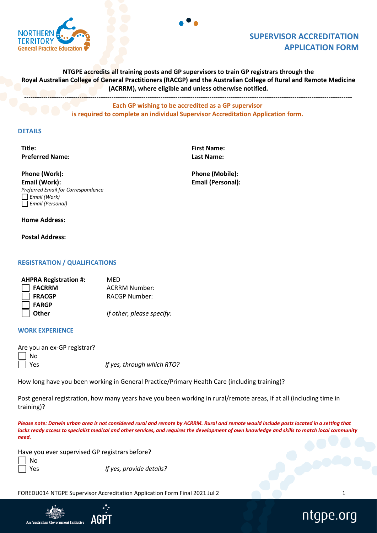

# **SUPERVISOR ACCREDITATION APPLICATION FORM**

**NTGPE accredits all training posts and GP supervisors to train GP registrars through the Royal Australian College of General Practitioners (RACGP) and the Australian College of Rural and Remote Medicine (ACRRM), where eligible and unless otherwise notified.**

----------------------------------------------------------------------------------------------------------------------------------------------------------

**Each GP wishing to be accredited as a GP supervisor is required to complete an individual Supervisor Accreditation Application form.** 

# **DETAILS**

**Title: First Name: Preferred Name: Last Name:**

**Phone (Work): Phone (Mobile): Email (Work): Email (Personal):** *Preferred Email for Correspondence Email (Work) Email (Personal)*

## **Home Address:**

**Postal Address:**

# **REGISTRATION / QUALIFICATIONS**

| MED                       |
|---------------------------|
| <b>ACRRM Number:</b>      |
| <b>RACGP Number:</b>      |
|                           |
| If other, please specify: |
|                           |

#### **WORK EXPERIENCE**

| Are you an ex-GP registrar? |                            |
|-----------------------------|----------------------------|
| $\Box$ No                   |                            |
| $\Box$ Yes                  | If yes, through which RTO? |

How long have you been working in General Practice/Primary Health Care (including training)?

Post general registration, how many years have you been working in rural/remote areas, if at all (including time in training)?

*Please note: Darwin urban area is not considered rural and remote by ACRRM. Rural and remote would include posts located in a setting that* lacks ready access to specialist medical and other services, and requires the development of own knowledge and skills to match local community *need.*

Have you ever supervised GP registrarsbefore?

No

Yes *If yes, provide details?*

FOREDU014 NTGPE Supervisor Accreditation Application Form Final 2021 Jul 2 1



# ntgpe.org